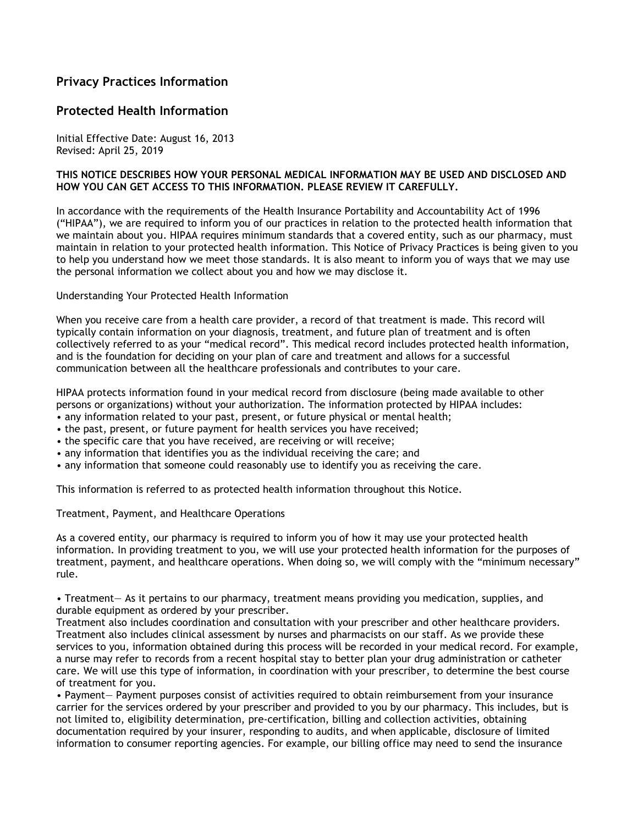## Privacy Practices Information

## Protected Health Information

Initial Effective Date: August 16, 2013 Revised: April 25, 2019

## THIS NOTICE DESCRIBES HOW YOUR PERSONAL MEDICAL INFORMATION MAY BE USED AND DISCLOSED AND HOW YOU CAN GET ACCESS TO THIS INFORMATION. PLEASE REVIEW IT CAREFULLY.

In accordance with the requirements of the Health Insurance Portability and Accountability Act of 1996 ("HIPAA"), we are required to inform you of our practices in relation to the protected health information that we maintain about you. HIPAA requires minimum standards that a covered entity, such as our pharmacy, must maintain in relation to your protected health information. This Notice of Privacy Practices is being given to you to help you understand how we meet those standards. It is also meant to inform you of ways that we may use the personal information we collect about you and how we may disclose it.

Understanding Your Protected Health Information

When you receive care from a health care provider, a record of that treatment is made. This record will typically contain information on your diagnosis, treatment, and future plan of treatment and is often collectively referred to as your "medical record". This medical record includes protected health information, and is the foundation for deciding on your plan of care and treatment and allows for a successful communication between all the healthcare professionals and contributes to your care.

HIPAA protects information found in your medical record from disclosure (being made available to other persons or organizations) without your authorization. The information protected by HIPAA includes:

- any information related to your past, present, or future physical or mental health;
- the past, present, or future payment for health services you have received;
- the specific care that you have received, are receiving or will receive;
- any information that identifies you as the individual receiving the care; and
- any information that someone could reasonably use to identify you as receiving the care.

This information is referred to as protected health information throughout this Notice.

Treatment, Payment, and Healthcare Operations

As a covered entity, our pharmacy is required to inform you of how it may use your protected health information. In providing treatment to you, we will use your protected health information for the purposes of treatment, payment, and healthcare operations. When doing so, we will comply with the "minimum necessary" rule.

• Treatment— As it pertains to our pharmacy, treatment means providing you medication, supplies, and durable equipment as ordered by your prescriber.

Treatment also includes coordination and consultation with your prescriber and other healthcare providers. Treatment also includes clinical assessment by nurses and pharmacists on our staff. As we provide these services to you, information obtained during this process will be recorded in your medical record. For example, a nurse may refer to records from a recent hospital stay to better plan your drug administration or catheter care. We will use this type of information, in coordination with your prescriber, to determine the best course of treatment for you.

• Payment— Payment purposes consist of activities required to obtain reimbursement from your insurance carrier for the services ordered by your prescriber and provided to you by our pharmacy. This includes, but is not limited to, eligibility determination, pre-certification, billing and collection activities, obtaining documentation required by your insurer, responding to audits, and when applicable, disclosure of limited information to consumer reporting agencies. For example, our billing office may need to send the insurance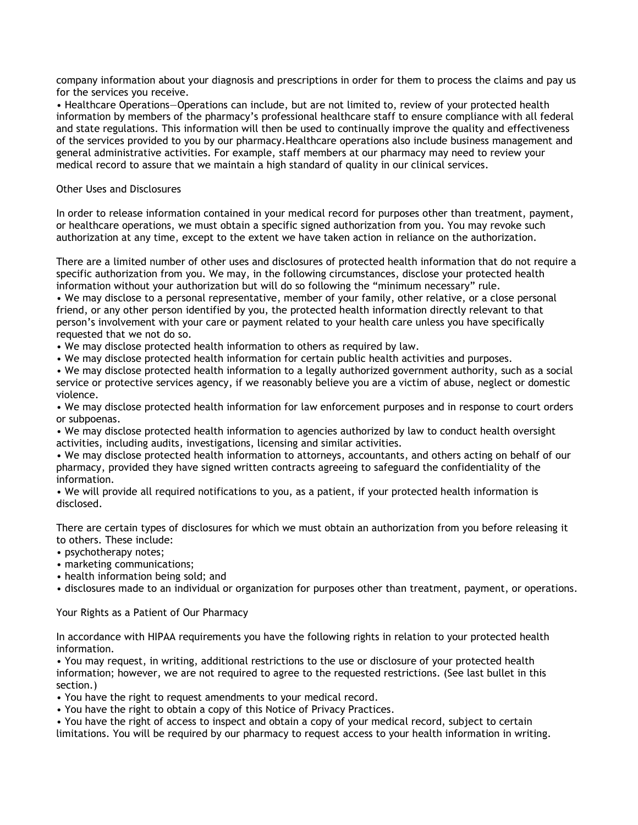company information about your diagnosis and prescriptions in order for them to process the claims and pay us for the services you receive.

• Healthcare Operations—Operations can include, but are not limited to, review of your protected health information by members of the pharmacy's professional healthcare staff to ensure compliance with all federal and state regulations. This information will then be used to continually improve the quality and effectiveness of the services provided to you by our pharmacy.Healthcare operations also include business management and general administrative activities. For example, staff members at our pharmacy may need to review your medical record to assure that we maintain a high standard of quality in our clinical services.

## Other Uses and Disclosures

In order to release information contained in your medical record for purposes other than treatment, payment, or healthcare operations, we must obtain a specific signed authorization from you. You may revoke such authorization at any time, except to the extent we have taken action in reliance on the authorization.

There are a limited number of other uses and disclosures of protected health information that do not require a specific authorization from you. We may, in the following circumstances, disclose your protected health information without your authorization but will do so following the "minimum necessary" rule.

• We may disclose to a personal representative, member of your family, other relative, or a close personal friend, or any other person identified by you, the protected health information directly relevant to that person's involvement with your care or payment related to your health care unless you have specifically requested that we not do so.

- We may disclose protected health information to others as required by law.
- We may disclose protected health information for certain public health activities and purposes.

• We may disclose protected health information to a legally authorized government authority, such as a social service or protective services agency, if we reasonably believe you are a victim of abuse, neglect or domestic violence.

• We may disclose protected health information for law enforcement purposes and in response to court orders or subpoenas.

• We may disclose protected health information to agencies authorized by law to conduct health oversight activities, including audits, investigations, licensing and similar activities.

• We may disclose protected health information to attorneys, accountants, and others acting on behalf of our pharmacy, provided they have signed written contracts agreeing to safeguard the confidentiality of the information.

• We will provide all required notifications to you, as a patient, if your protected health information is disclosed.

There are certain types of disclosures for which we must obtain an authorization from you before releasing it to others. These include:

- psychotherapy notes;
- marketing communications;
- health information being sold; and
- disclosures made to an individual or organization for purposes other than treatment, payment, or operations.

Your Rights as a Patient of Our Pharmacy

In accordance with HIPAA requirements you have the following rights in relation to your protected health information.

• You may request, in writing, additional restrictions to the use or disclosure of your protected health information; however, we are not required to agree to the requested restrictions. (See last bullet in this section.)

• You have the right to request amendments to your medical record.

- You have the right to obtain a copy of this Notice of Privacy Practices.
- You have the right of access to inspect and obtain a copy of your medical record, subject to certain limitations. You will be required by our pharmacy to request access to your health information in writing.